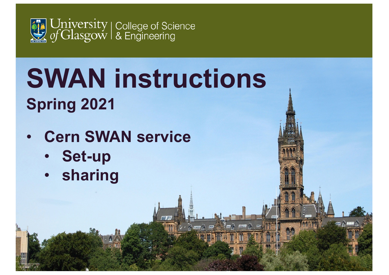

## **SWAN instructions Spring 2021**

四

1

- **Cern SWAN service**
	- **Set-up**
	- **sharing**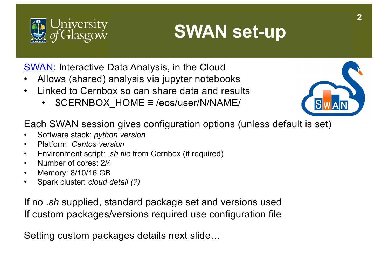



[SW](https://swan.cern.ch/)AN: Interactive Data Analysis, in the Cloud

- Allows (shared) analysis via jupyter notebooks
- Linked to Cernbox so can share data and results
	- \$CERNBOX\_HOME ≡ /eos/user/N/NAME/



Each SWAN session gives configuration options (unless default is set)

- Software stack: *python version*
- Platform: *Centos version*
- Environment script: *.sh file* from Cernbox (if required)
- Number of cores: 2/4
- Memory: 8/10/16 GB
- Spark cluster: *cloud detail (?)*

If no .*sh* supplied, standard package set and versions used If custom packages/versions required use configuration file

Setting custom packages details next slide…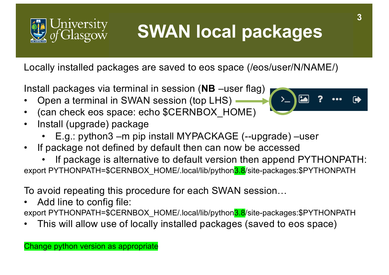

## **SWAN local packages**

Locally installed packages are saved to eos space (/eos/user/N/NAME/)

Install packages via terminal in session (**NB** –user flag)

- Open a terminal in SWAN session (top LHS)
- (can check eos space: echo \$CERNBOX HOME)
- Install (upgrade) package
	- E.g.: python3 –m pip install MYPACKAGE (--upgrade) –user
- If package not defined by default then can now be accessed

If package is alternative to default version then append PYTHONPATH: export PYTHONPATH=\$CERNBOX\_HOME/.local/lib/python<sup>3.8</sup>/site-packages:\$PYTHONPATH

To avoid repeating this procedure for each SWAN session…

- Add line to config file: export PYTHONPATH=\$CERNBOX\_HOME/.local/lib/python<sup>3</sup>.8/site-packages:\$PYTHONPATH
- This will allow use of locally installed packages (saved to eos space)